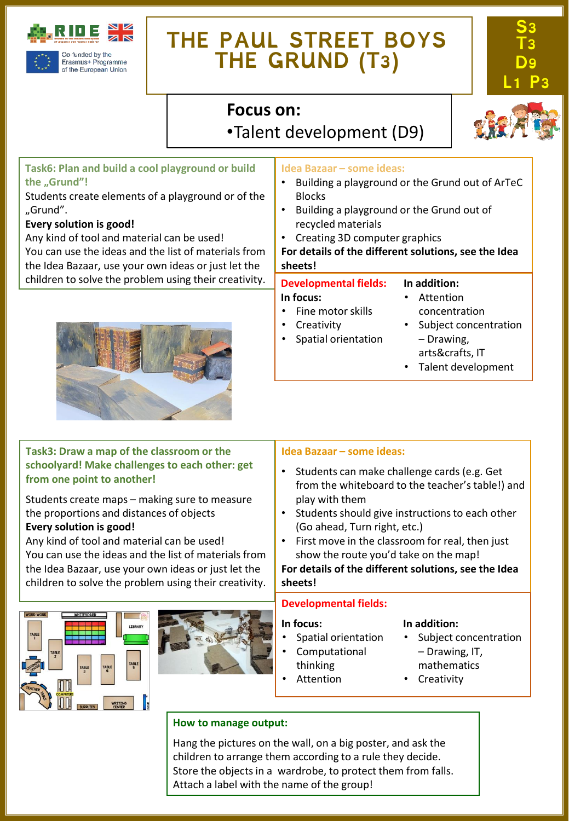

### **THE PAUL STREET BOYS THE GRUND (T3)**

Blocks

**sheets!**

**In focus:**



### **Focus on:**  •Talent development (D9)



### **Task6: Plan and build a cool playground or build the "Grund"!**

Students create elements of a playground or of the "Grund".

#### **Every solution is good!**

Any kind of tool and material can be used! You can use the ideas and the list of materials from the Idea Bazaar, use your own ideas or just let the children to solve the problem using their creativity.



#### **Task3: Draw a map of the classroom or the Idea Bazaar – some ideas:**

**schoolyard! Make challenges to each other: get from one point to another!**

Students create maps – making sure to measure the proportions and distances of objects **Every solution is good!**

Any kind of tool and material can be used! You can use the ideas and the list of materials from the Idea Bazaar, use your own ideas or just let the children to solve the problem using their creativity.





#### • Students can make challenge cards (e.g. Get

**Idea Bazaar – some ideas:**

recycled materials

**Developmental fields:**

• Fine motor skills **Creativity** • Spatial orientation

• Creating 3D computer graphics

from the whiteboard to the teacher's table!) and play with them

• Building a playground or the Grund out of ArTeC

• Building a playground or the Grund out of

**For details of the different solutions, see the Idea** 

**In addition:** • Attention

concentration • Subject concentration

– Drawing, arts&crafts, IT • Talent development

- Students should give instructions to each other (Go ahead, Turn right, etc.)
- First move in the classroom for real, then just show the route you'd take on the map!

**For details of the different solutions, see the Idea sheets!**

#### **Developmental fields:**

#### **In focus:**

- Spatial orientation
- Computational
- thinking
	- **Attention**

#### **In addition:**

- Subject concentration – Drawing, IT, mathematics
- **Creativity**
- 

#### **How to manage output:**

Hang the pictures on the wall, on a big poster, and ask the children to arrange them according to a rule they decide. Store the objects in a wardrobe, to protect them from falls. Attach a label with the name of the group!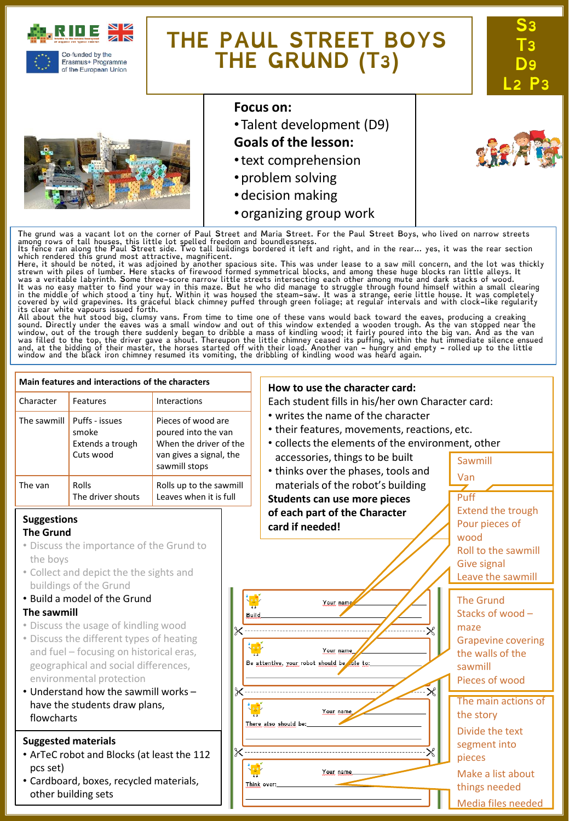

of the European Union

## **THE PAUL STREET BOYS THE GRUND (T3)**





#### **Focus on:**

•Talent development (D9)

#### **Goals of the lesson:**

- •text comprehension
- •problem solving
- •decision making
- •organizing group work

The grund was a vacant lot on the corner of Paul Street and Maria Street. For the Paul Street Boys, who lived on narrow streets<br>among rows of tall houses, this little lot spelled freedom and boundlessness.<br>Its fence ran al

which rendered this grund most attractive, magnificent.<br>Here, it should be noted, it was adjoined by another spacious site. This was under lease to a saw mill concern, and the lot was thickly<br>Here, it should be noted, it w

sound. Directly under the eaves was a small window and out of this window extended a wooden trough. As the van stopped near the<br>window, out of the trough there suddenly began to dribble a mass of kindling wood; it fairly p

#### **Main features and interactions of the characters How to use the character card:** Character Features Interactions Each student fills in his/her own Character card: • writes the name of the character The sawmill  $\vert$  Puffs - issues Pieces of wood are • their features, movements, reactions, etc. smoke poured into the van • collects the elements of the environment, other Extends a trough When the driver of the Cuts wood van gives a signal, the accessories, things to be built Sawmill sawmill stops • thinks over the phases, tools and Van materials of the robot's building The van Rolls Rolls up to the sawmill The driver shouts Leaves when it is full Puff **Students can use more pieces** Extend the trough **of each part of the Character Suggestions** Pour pieces of **card if needed! The Grund** wood • Discuss the importance of the Grund to Roll to the sawmill the boys Give signal • Collect and depict the the sights and Leave the sawmill buildings of the Grund • Build a model of the Grund The Grund Your nam **The sawmill** Stacks of wood – **Build** • Discuss the usage of kindling wood maze • Discuss the different types of heating Grapevine covering and fuel – focusing on historical eras, Your name the walls of the Be attentive, your robot should be ole to: geographical and social differences, sawmill environmental protection Pieces of wood • Understand how the sawmill works – The main actions of have the students draw plans, Your name the story flowcharts There also should be: Divide the text **Suggested materials** segment into • ArTeC robot and Blocks (at least the 112 pieces pcs set) Your name Make a list about • Cardboard, boxes, recycled materials, Think over: things needed other building sets Media files needed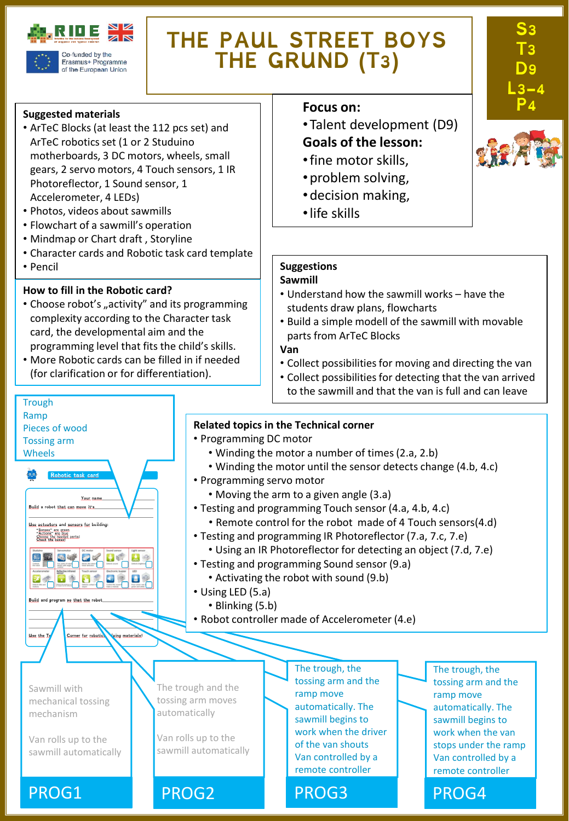

Erasmus+ Programme of the European Union

## **THE PAUL STREET BOYS THE GRUND (T3)**

#### **Suggested materials**

- ArTeC Blocks (at least the 112 pcs set) and ArTeC robotics set (1 or 2 Studuino motherboards, 3 DC motors, wheels, small gears, 2 servo motors, 4 Touch sensors, 1 IR Photoreflector, 1 Sound sensor, 1 Accelerometer, 4 LEDs)
- Photos, videos about sawmills
- Flowchart of a sawmill's operation
- Mindmap or Chart draft , Storyline
- Character cards and Robotic task card template
- Pencil

**Trough** Ramp

Pieces of wood Tossing arm Wheels

Build a robot that can move it's Use actuators and sensors for building: "Senses" are green<br>"Actions" are blue<br>Chace the hovest

国王国史区

 $\bullet$ 

Build and program so that the

Use the L

Your ni

 $\mathbf{E}$ 

Corner for robotie

ing materials

#### **How to fill in the Robotic card?**

- Choose robot's "activity" and its programming complexity according to the Character task card, the developmental aim and the programming level that fits the child's skills.
- More Robotic cards can be filled in if needed (for clarification or for differentiation).

#### **Focus** on:

- •Talent development (D9) **Goals of the lesson:**
- •fine motor skills,
- •problem solving,
- •decision making,
- •life skills

### **Suggestions**

#### **Sawmill**

- Understand how the sawmill works have the students draw plans, flowcharts
- Build a simple modell of the sawmill with movable parts from ArTeC Blocks

#### **Van**

- Collect possibilities for moving and directing the van
- Collect possibilities for detecting that the van arrived to the sawmill and that the van is full and can leave

#### **Related topics in the Technical corner**

- Programming DC motor
	- Winding the motor a number of times(2.a, 2.b)
	- Winding the motor until the sensor detects change (4.b, 4.c)
- Programming servo motor
	- Moving the arm to a given angle (3.a)
- Testing and programming Touch sensor (4.a, 4.b, 4.c)
	- Remote control for the robot made of 4 Touch sensors(4.d)
- Testing and programming IR Photoreflector (7.a, 7.c, 7.e)
	- Using an IR Photoreflector for detecting an object (7.d, 7.e)
- Testing and programming Sound sensor (9.a)
	- Activating the robot with sound (9.b)
- Using LED (5.a)

The trough and the tossing arm moves automatically

Van rolls up to the sawmill automatically

- Blinking (5.b)
- Robot controller made of Accelerometer (4.e)

Sawmill with mechanical tossing mechanism

Van rolls up to the sawmill automatically

PROG1 PROG2 PROG3 PROG4

The trough, the tossing arm and the ramp move automatically. The sawmill begins to work when the driver of the van shouts Van controlled by a remote controller

The trough, the tossing arm and the ramp move automatically. The sawmill begins to work when the van stops under the ramp Van controlled by a remote controller



**S3** 

**T3 D9** 

**L3-4**